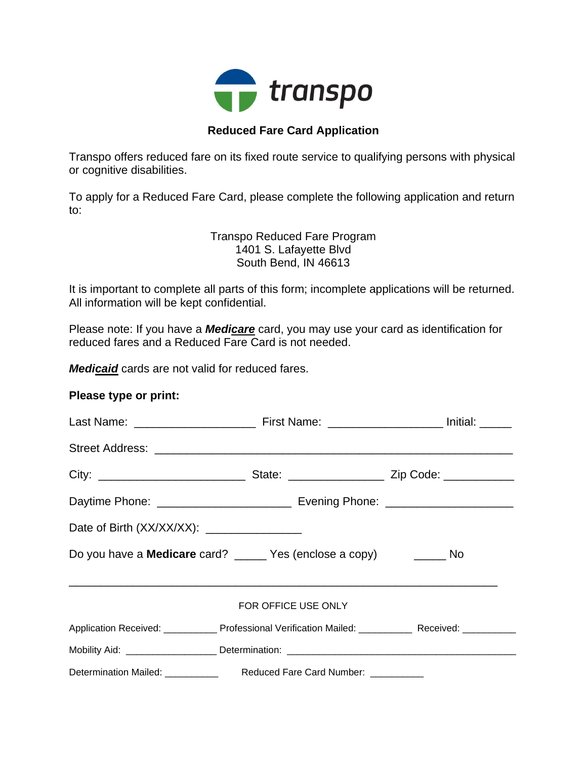

## **Reduced Fare Card Application**

Transpo offers reduced fare on its fixed route service to qualifying persons with physical or cognitive disabilities.

To apply for a Reduced Fare Card, please complete the following application and return to:

> Transpo Reduced Fare Program 1401 S. Lafayette Blvd South Bend, IN 46613

It is important to complete all parts of this form; incomplete applications will be returned. All information will be kept confidential.

Please note: If you have a *Medicare* card, you may use your card as identification for reduced fares and a Reduced Fare Card is not needed.

*Medicaid* cards are not valid for reduced fares.

#### **Please type or print:**

| Date of Birth (XX/XX/XX): _________________                             |                                                                                                      |  |  |  |
|-------------------------------------------------------------------------|------------------------------------------------------------------------------------------------------|--|--|--|
|                                                                         | Do you have a <b>Medicare</b> card? ______ Yes (enclose a copy) _______ No                           |  |  |  |
| FOR OFFICE USE ONLY                                                     |                                                                                                      |  |  |  |
|                                                                         | Application Received: ____________ Professional Verification Mailed: ___________ Received: _________ |  |  |  |
|                                                                         | Mobility Aid: ____________________Determination: ________________________________                    |  |  |  |
| Determination Mailed: ____________ Reduced Fare Card Number: __________ |                                                                                                      |  |  |  |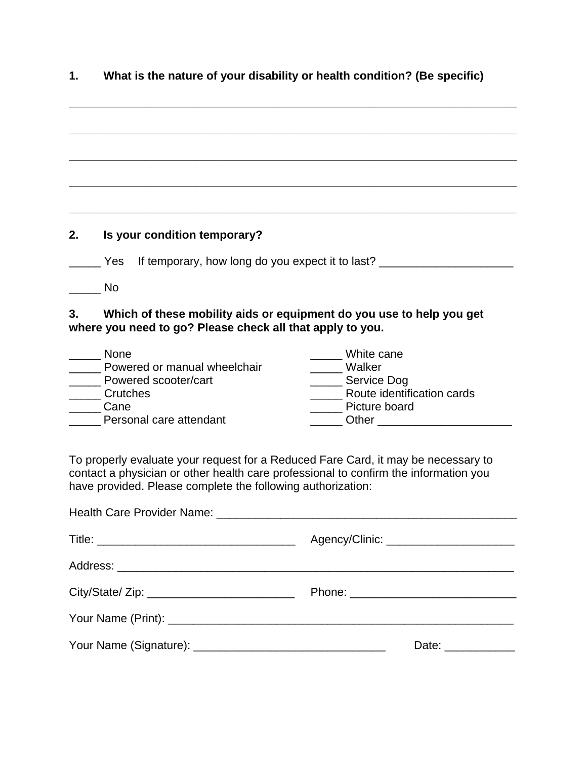# **1. What is the nature of your disability or health condition? (Be specific)**

**\_\_\_\_\_\_\_\_\_\_\_\_\_\_\_\_\_\_\_\_\_\_\_\_\_\_\_\_\_\_\_\_\_\_\_\_\_\_\_\_\_\_\_\_\_\_\_\_\_\_\_\_\_\_\_\_\_\_\_\_\_\_\_\_\_\_\_\_\_\_** 

**\_\_\_\_\_\_\_\_\_\_\_\_\_\_\_\_\_\_\_\_\_\_\_\_\_\_\_\_\_\_\_\_\_\_\_\_\_\_\_\_\_\_\_\_\_\_\_\_\_\_\_\_\_\_\_\_\_\_\_\_\_\_\_\_\_\_\_\_\_\_** 

**\_\_\_\_\_\_\_\_\_\_\_\_\_\_\_\_\_\_\_\_\_\_\_\_\_\_\_\_\_\_\_\_\_\_\_\_\_\_\_\_\_\_\_\_\_\_\_\_\_\_\_\_\_\_\_\_\_\_\_\_\_\_\_\_\_\_\_\_\_\_** 

**\_\_\_\_\_\_\_\_\_\_\_\_\_\_\_\_\_\_\_\_\_\_\_\_\_\_\_\_\_\_\_\_\_\_\_\_\_\_\_\_\_\_\_\_\_\_\_\_\_\_\_\_\_\_\_\_\_\_\_\_\_\_\_\_\_\_\_\_\_\_** 

**\_\_\_\_\_\_\_\_\_\_\_\_\_\_\_\_\_\_\_\_\_\_\_\_\_\_\_\_\_\_\_\_\_\_\_\_\_\_\_\_\_\_\_\_\_\_\_\_\_\_\_\_\_\_\_\_\_\_\_\_\_\_\_\_\_\_\_\_\_\_** 

# **2. Is your condition temporary?**

| Yes If temporary, how long do you expect it to last? |  |
|------------------------------------------------------|--|
|                                                      |  |

\_\_\_\_\_ No

## **3. Which of these mobility aids or equipment do you use to help you get where you need to go? Please check all that apply to you.**

| <b>None</b>                  | White cane                 |
|------------------------------|----------------------------|
| Powered or manual wheelchair | Walker                     |
| Powered scooter/cart         | Service Dog                |
| Crutches                     | Route identification cards |
| Cane                         | Picture board              |
| Personal care attendant      | Other                      |

To properly evaluate your request for a Reduced Fare Card, it may be necessary to contact a physician or other health care professional to confirm the information you have provided. Please complete the following authorization:

| Date: ____________ |
|--------------------|